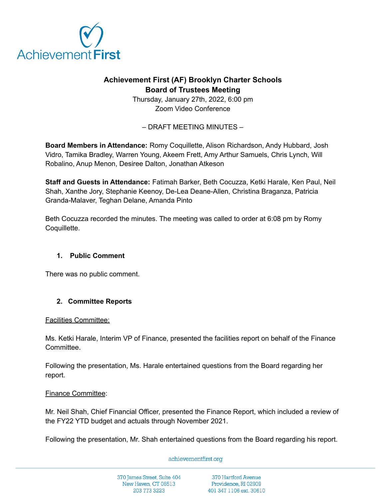

# **Achievement First (AF) Brooklyn Charter Schools Board of Trustees Meeting**

Thursday, January 27th, 2022, 6:00 pm Zoom Video Conference

– DRAFT MEETING MINUTES –

**Board Members in Attendance:** Romy Coquillette, Alison Richardson, Andy Hubbard, Josh Vidro, Tamika Bradley, Warren Young, Akeem Frett, Amy Arthur Samuels, Chris Lynch, Will Robalino, Anup Menon, Desiree Dalton, Jonathan Atkeson

**Staff and Guests in Attendance:** Fatimah Barker, Beth Cocuzza, Ketki Harale, Ken Paul, Neil Shah, Xanthe Jory, Stephanie Keenoy, De-Lea Deane-Allen, Christina Braganza, Patricia Granda-Malaver, Teghan Delane, Amanda Pinto

Beth Cocuzza recorded the minutes. The meeting was called to order at 6:08 pm by Romy Coquillette.

## **1. Public Comment**

There was no public comment.

## **2. Committee Reports**

#### Facilities Committee:

Ms. Ketki Harale, Interim VP of Finance, presented the facilities report on behalf of the Finance Committee.

Following the presentation, Ms. Harale entertained questions from the Board regarding her report.

#### Finance Committee:

Mr. Neil Shah, Chief Financial Officer, presented the Finance Report, which included a review of the FY22 YTD budget and actuals through November 2021.

Following the presentation, Mr. Shah entertained questions from the Board regarding his report.

#### achievementfirst.org

370 James Street, Suite 404 New Haven, CT 06513 203 773 3223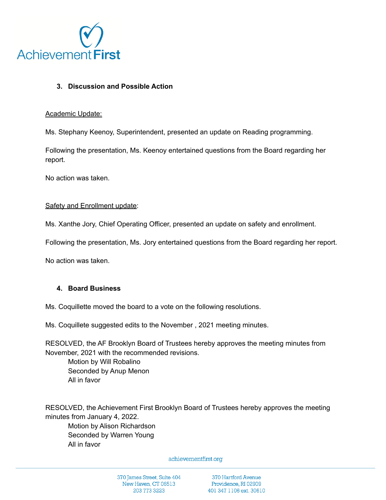

### **3. Discussion and Possible Action**

#### Academic Update:

Ms. Stephany Keenoy, Superintendent, presented an update on Reading programming.

Following the presentation, Ms. Keenoy entertained questions from the Board regarding her report.

No action was taken.

#### Safety and Enrollment update:

Ms. Xanthe Jory, Chief Operating Officer, presented an update on safety and enrollment.

Following the presentation, Ms. Jory entertained questions from the Board regarding her report.

No action was taken.

### **4. Board Business**

Ms. Coquillette moved the board to a vote on the following resolutions.

Ms. Coquillete suggested edits to the November , 2021 meeting minutes.

RESOLVED, the AF Brooklyn Board of Trustees hereby approves the meeting minutes from November, 2021 with the recommended revisions. Motion by Will Robalino

Seconded by Anup Menon All in favor

RESOLVED, the Achievement First Brooklyn Board of Trustees hereby approves the meeting minutes from January 4, 2022.

Motion by Alison Richardson Seconded by Warren Young All in favor

#### achievementfirst.org

370 James Street, Suite 404 New Haven, CT 06513 203 773 3223

370 Hartford Avenue Providence, RI 02909 401 347 1106 ext. 30610